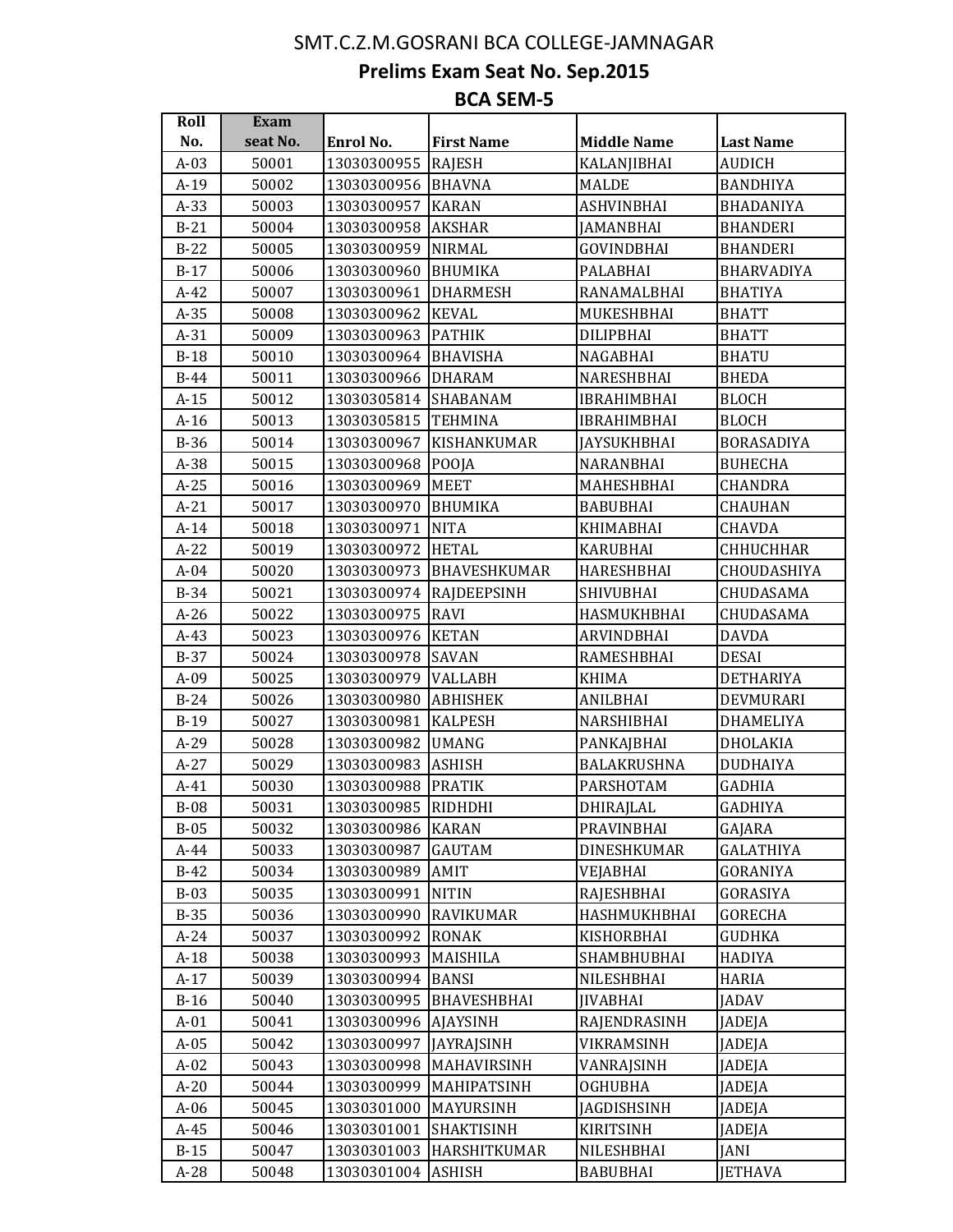## SMT.C.Z.M.GOSRANI BCA COLLEGE-JAMNAGAR

**Prelims Exam Seat No. Sep.2015**

## **BCA SEM-5**

| Roll   | Exam     |                     |                     |                    |                   |
|--------|----------|---------------------|---------------------|--------------------|-------------------|
| No.    | seat No. | Enrol No.           | <b>First Name</b>   | <b>Middle Name</b> | <b>Last Name</b>  |
| $A-03$ | 50001    | 13030300955         | <b>RAJESH</b>       | KALANJIBHAI        | <b>AUDICH</b>     |
| $A-19$ | 50002    | 13030300956 BHAVNA  |                     | <b>MALDE</b>       | <b>BANDHIYA</b>   |
| $A-33$ | 50003    | 13030300957         | <b>KARAN</b>        | <b>ASHVINBHAI</b>  | <b>BHADANIYA</b>  |
| $B-21$ | 50004    | 13030300958         | <b>AKSHAR</b>       | JAMANBHAI          | <b>BHANDERI</b>   |
| $B-22$ | 50005    | 13030300959         | <b>NIRMAL</b>       | <b>GOVINDBHAI</b>  | <b>BHANDERI</b>   |
| $B-17$ | 50006    | 13030300960         | <b>BHUMIKA</b>      | PALABHAI           | <b>BHARVADIYA</b> |
| $A-42$ | 50007    | 13030300961         | <b>DHARMESH</b>     | RANAMALBHAI        | <b>BHATIYA</b>    |
| $A-35$ | 50008    | 13030300962   KEVAL |                     | MUKESHBHAI         | <b>BHATT</b>      |
| $A-31$ | 50009    | 13030300963         | <b>PATHIK</b>       | DILIPBHAI          | <b>BHATT</b>      |
| $B-18$ | 50010    | 13030300964         | <b>BHAVISHA</b>     | NAGABHAI           | <b>BHATU</b>      |
| $B-44$ | 50011    | 13030300966         | <b>DHARAM</b>       | NARESHBHAI         | <b>BHEDA</b>      |
| $A-15$ | 50012    | 13030305814         | SHABANAM            | IBRAHIMBHAI        | <b>BLOCH</b>      |
| $A-16$ | 50013    | 13030305815         | <b>TEHMINA</b>      | <b>IBRAHIMBHAI</b> | <b>BLOCH</b>      |
| $B-36$ | 50014    | 13030300967         | KISHANKUMAR         | JAYSUKHBHAI        | <b>BORASADIYA</b> |
| A-38   | 50015    | 13030300968         | POOJA               | NARANBHAI          | <b>BUHECHA</b>    |
| $A-25$ | 50016    | 13030300969         | <b>MEET</b>         | MAHESHBHAI         | CHANDRA           |
| $A-21$ | 50017    | 13030300970         | <b>BHUMIKA</b>      | <b>BABUBHAI</b>    | <b>CHAUHAN</b>    |
| $A-14$ | 50018    | 13030300971         | <b>NITA</b>         | <b>KHIMABHAI</b>   | <b>CHAVDA</b>     |
| $A-22$ | 50019    | 13030300972         | <b>HETAL</b>        | KARUBHAI           | <b>CHHUCHHAR</b>  |
| $A-04$ | 50020    | 13030300973         | <b>BHAVESHKUMAR</b> | HARESHBHAI         | CHOUDASHIYA       |
| $B-34$ | 50021    | 13030300974         | <b>RAJDEEPSINH</b>  | SHIVUBHAI          | CHUDASAMA         |
| $A-26$ | 50022    | 13030300975         | <b>RAVI</b>         | HASMUKHBHAI        | CHUDASAMA         |
| $A-43$ | 50023    | 13030300976         | <b>KETAN</b>        | ARVINDBHAI         | <b>DAVDA</b>      |
| $B-37$ | 50024    | 13030300978         | <b>SAVAN</b>        | RAMESHBHAI         | <b>DESAI</b>      |
| $A-09$ | 50025    | 13030300979         | <b>VALLABH</b>      | <b>KHIMA</b>       | <b>DETHARIYA</b>  |
| $B-24$ | 50026    | 13030300980         | <b>ABHISHEK</b>     | ANILBHAI           | DEVMURARI         |
| $B-19$ | 50027    | 13030300981         | <b>KALPESH</b>      | NARSHIBHAI         | DHAMELIYA         |
| $A-29$ | 50028    | 13030300982         | <b>UMANG</b>        | PANKAJBHAI         | DHOLAKIA          |
| $A-27$ | 50029    | 13030300983         | <b>ASHISH</b>       | BALAKRUSHNA        | <b>DUDHAIYA</b>   |
| A-41   | 50030    | 13030300988         | <b>PRATIK</b>       | PARSHOTAM          | <b>GADHIA</b>     |
| $B-08$ | 50031    | 13030300985 RIDHDHI |                     | DHIRAJLAL          | <b>GADHIYA</b>    |
| $B-05$ | 50032    | 13030300986 KARAN   |                     | PRAVINBHAI         | GAJARA            |
| $A-44$ | 50033    | 13030300987         | <b>GAUTAM</b>       | <b>DINESHKUMAR</b> | <b>GALATHIYA</b>  |
| $B-42$ | 50034    | 13030300989         | AMIT                | <b>VEJABHAI</b>    | GORANIYA          |
| $B-03$ | 50035    | 13030300991         | <b>NITIN</b>        | RAJESHBHAI         | GORASIYA          |
| $B-35$ | 50036    | 13030300990         | <b>RAVIKUMAR</b>    | HASHMUKHBHAI       | <b>GORECHA</b>    |
| $A-24$ | 50037    | 13030300992         | <b>RONAK</b>        | KISHORBHAI         | GUDHKA            |
| $A-18$ | 50038    | 13030300993         | <b>MAISHILA</b>     | SHAMBHUBHAI        | <b>HADIYA</b>     |
| $A-17$ | 50039    | 13030300994         | <b>BANSI</b>        | NILESHBHAI         | <b>HARIA</b>      |
| $B-16$ | 50040    | 13030300995         | <b>BHAVESHBHAI</b>  | <b>JIVABHAI</b>    | JADAV             |
| $A-01$ | 50041    | 13030300996         | <b>AJAYSINH</b>     | RAJENDRASINH       | JADEJA            |
| $A-05$ | 50042    | 13030300997         | JAYRAJSINH          | VIKRAMSINH         | JADEJA            |
| $A-02$ | 50043    | 13030300998         | MAHAVIRSINH         | VANRAJSINH         | JADEJA            |
| $A-20$ | 50044    | 13030300999         | <b>MAHIPATSINH</b>  | <b>OGHUBHA</b>     | JADEJA            |
| $A-06$ | 50045    | 13030301000         | MAYURSINH           | JAGDISHSINH        | JADEJA            |
| $A-45$ | 50046    | 13030301001         | <b>SHAKTISINH</b>   | KIRITSINH          | JADEJA            |
| $B-15$ | 50047    | 13030301003         | HARSHITKUMAR        | NILESHBHAI         | JANI              |
| $A-28$ | 50048    | 13030301004         | <b>ASHISH</b>       | <b>BABUBHAI</b>    | <b>JETHAVA</b>    |